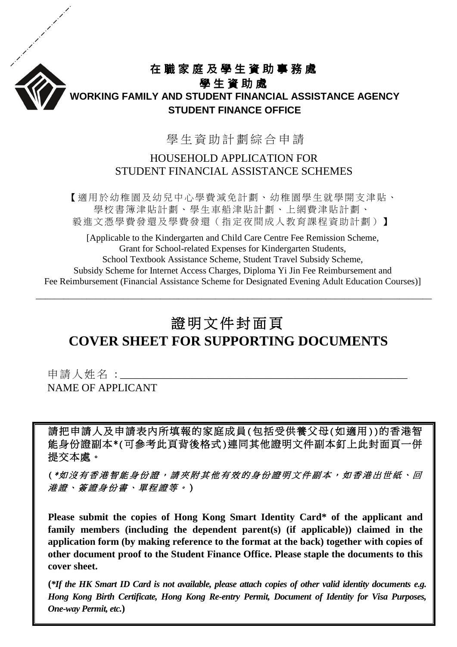

## 在職家庭及學生資助事務處

### 學生資助處 **WORKING FAMILY AND STUDENT FINANCIAL ASSISTANCE AGENCY STUDENT FINANCE OFFICE**

學 生 資 助計劃綜合 申 請

### HOUSEHOLD APPLICATION FOR STUDENT FINANCIAL ASSISTANCE SCHEMES

【適用於幼稚園及幼兒中心學費減免計劃、幼稚園學生就學開支津貼、 學校書簿津貼計劃、學生車船津貼計劃、上網費津貼計劃、 毅進文憑學費發還及學費發還(指定夜間成人教育課程資助計劃)】

[Applicable to the Kindergarten and Child Care Centre Fee Remission Scheme, Grant for School-related Expenses for Kindergarten Students, School Textbook Assistance Scheme, Student Travel Subsidy Scheme, Subsidy Scheme for Internet Access Charges, Diploma Yi Jin Fee Reimbursement and Fee Reimbursement (Financial Assistance Scheme for Designated Evening Adult Education Courses)]

\_\_\_\_\_\_\_\_\_\_\_\_\_\_\_\_\_\_\_\_\_\_\_\_\_\_\_\_\_\_\_\_\_\_\_\_\_\_\_\_\_\_\_\_\_\_\_\_\_\_\_\_\_\_\_\_\_\_\_\_\_\_\_\_\_\_\_\_\_\_\_\_\_\_\_\_\_\_\_\_\_\_\_\_\_\_

# 證明文件封面頁 **COVER SHEET FOR SUPPORTING DOCUMENTS**

申請人姓名 :\_\_\_\_ NAME OF APPLICANT

請把申請人及申請表內所填報的家庭成員(包括受供養父母(如適用))的香港智 能身份證副本\*(可參考此頁背後格式)連同其他證明文件副本釘上此封面頁一併 提交本處。 Ĭ

(\*如沒有香港智能身份證,請夾附其他有效的身份證明文件副本,如香港出世紙、回 港證、簽證身份書、單程證等 。 )

**Please submit the copies of Hong Kong Smart Identity Card\* of the applicant and family members (including the dependent parent(s) (if applicable)) claimed in the application form (by making reference to the format at the back) together with copies of other document proof to the Student Finance Office. Please staple the documents to this cover sheet.**

**(***\*If the HK Smart ID Card is not available, please attach copies of other valid identity documents e.g. Hong Kong Birth Certificate, Hong Kong Re-entry Permit, Document of Identity for Visa Purposes, One-way Permit, etc.***)**